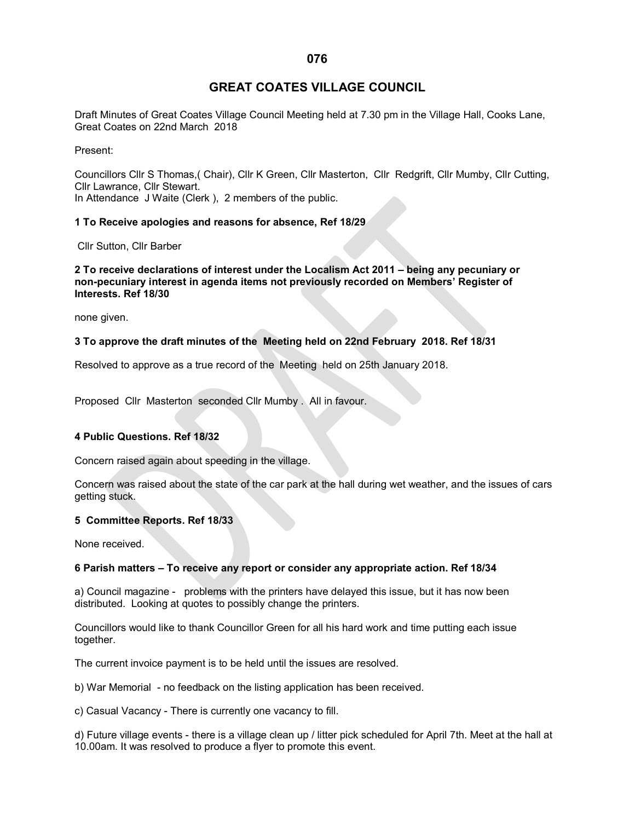# **GREAT COATES VILLAGE COUNCIL**

Draft Minutes of Great Coates Village Council Meeting held at 7.30 pm in the Village Hall, Cooks Lane, Great Coates on 22nd March 2018

Present:

Councillors Cllr S Thomas,( Chair), Cllr K Green, Cllr Masterton, Cllr Redgrift, Cllr Mumby, Cllr Cutting, Cllr Lawrance, Cllr Stewart. In Attendance J Waite (Clerk ), 2 members of the public.

## **1 To Receive apologies and reasons for absence, Ref 18/29**

Cllr Sutton, Cllr Barber

**2 To receive declarations of interest under the Localism Act 2011 – being any pecuniary or non-pecuniary interest in agenda items not previously recorded on Members' Register of Interests. Ref 18/30**

none given.

# **3 To approve the draft minutes of the Meeting held on 22nd February 2018. Ref 18/31**

Resolved to approve as a true record of the Meeting held on 25th January 2018.

Proposed Cllr Masterton seconded Cllr Mumby . All in favour.

## **4 Public Questions. Ref 18/32**

Concern raised again about speeding in the village.

Concern was raised about the state of the car park at the hall during wet weather, and the issues of cars getting stuck.

#### **5 Committee Reports. Ref 18/33**

None received.

#### **6 Parish matters – To receive any report or consider any appropriate action. Ref 18/34**

a) Council magazine - problems with the printers have delayed this issue, but it has now been distributed. Looking at quotes to possibly change the printers.

Councillors would like to thank Councillor Green for all his hard work and time putting each issue together.

The current invoice payment is to be held until the issues are resolved.

b) War Memorial - no feedback on the listing application has been received.

c) Casual Vacancy - There is currently one vacancy to fill.

d) Future village events - there is a village clean up / litter pick scheduled for April 7th. Meet at the hall at 10.00am. It was resolved to produce a flyer to promote this event.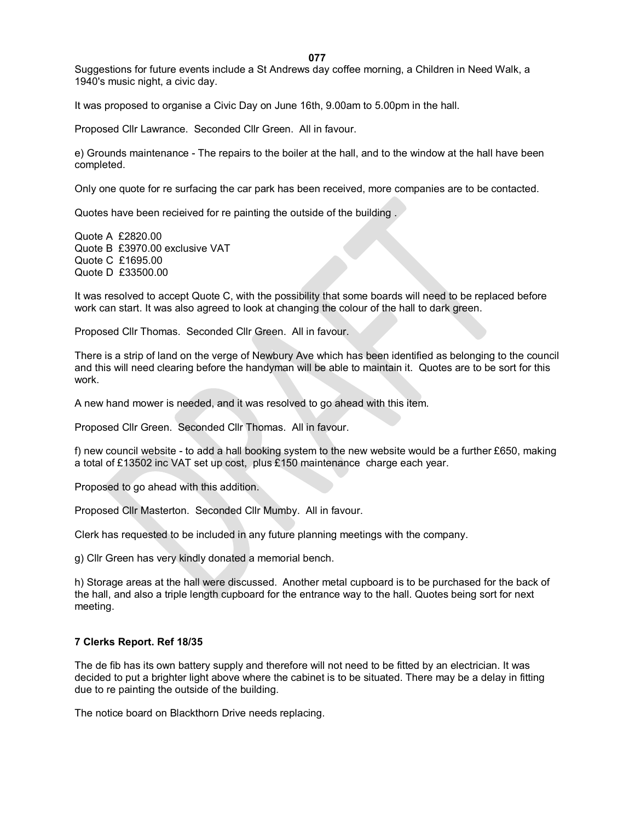**077**

Suggestions for future events include a St Andrews day coffee morning, a Children in Need Walk, a 1940's music night, a civic day.

It was proposed to organise a Civic Day on June 16th, 9.00am to 5.00pm in the hall.

Proposed Cllr Lawrance. Seconded Cllr Green. All in favour.

e) Grounds maintenance - The repairs to the boiler at the hall, and to the window at the hall have been completed.

Only one quote for re surfacing the car park has been received, more companies are to be contacted.

Quotes have been recieived for re painting the outside of the building .

Quote A £2820.00 Quote B £3970.00 exclusive VAT Quote C £1695.00 Quote D £33500.00

It was resolved to accept Quote C, with the possibility that some boards will need to be replaced before work can start. It was also agreed to look at changing the colour of the hall to dark green.

Proposed Cllr Thomas. Seconded Cllr Green. All in favour.

There is a strip of land on the verge of Newbury Ave which has been identified as belonging to the council and this will need clearing before the handyman will be able to maintain it. Quotes are to be sort for this work.

A new hand mower is needed, and it was resolved to go ahead with this item.

Proposed Cllr Green. Seconded Cllr Thomas. All in favour.

f) new council website - to add a hall booking system to the new website would be a further £650, making a total of £13502 inc VAT set up cost, plus £150 maintenance charge each year.

Proposed to go ahead with this addition.

Proposed Cllr Masterton. Seconded Cllr Mumby. All in favour.

Clerk has requested to be included in any future planning meetings with the company.

g) Cllr Green has very kindly donated a memorial bench.

h) Storage areas at the hall were discussed. Another metal cupboard is to be purchased for the back of the hall, and also a triple length cupboard for the entrance way to the hall. Quotes being sort for next meeting.

## **7 Clerks Report. Ref 18/35**

The de fib has its own battery supply and therefore will not need to be fitted by an electrician. It was decided to put a brighter light above where the cabinet is to be situated. There may be a delay in fitting due to re painting the outside of the building.

The notice board on Blackthorn Drive needs replacing.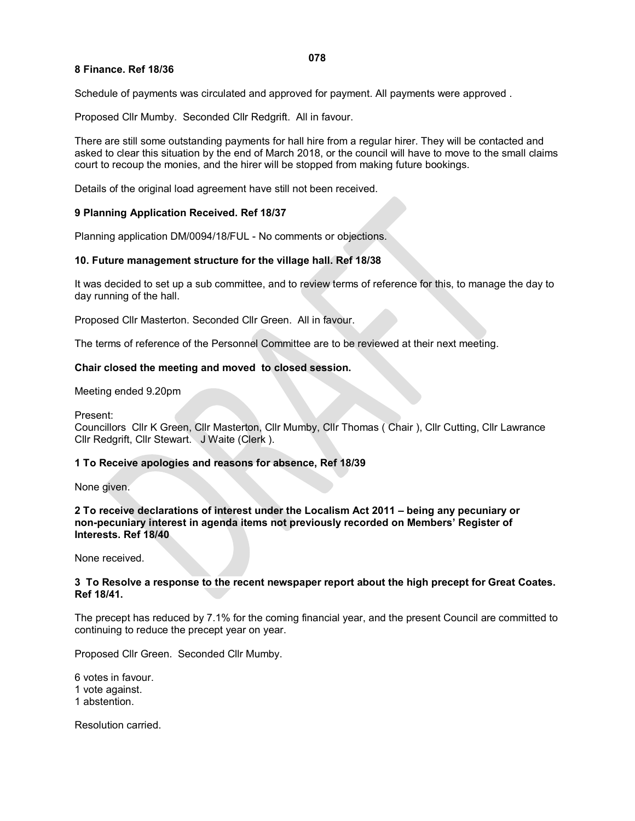## **8 Finance. Ref 18/36**

Schedule of payments was circulated and approved for payment. All payments were approved .

Proposed Cllr Mumby. Seconded Cllr Redgrift. All in favour.

There are still some outstanding payments for hall hire from a regular hirer. They will be contacted and asked to clear this situation by the end of March 2018, or the council will have to move to the small claims court to recoup the monies, and the hirer will be stopped from making future bookings.

Details of the original load agreement have still not been received.

#### **9 Planning Application Received. Ref 18/37**

Planning application DM/0094/18/FUL - No comments or objections.

#### **10. Future management structure for the village hall. Ref 18/38**

It was decided to set up a sub committee, and to review terms of reference for this, to manage the day to day running of the hall.

Proposed Cllr Masterton. Seconded Cllr Green. All in favour.

The terms of reference of the Personnel Committee are to be reviewed at their next meeting.

#### **Chair closed the meeting and moved to closed session.**

Meeting ended 9.20pm

Present:

Councillors Cllr K Green, Cllr Masterton, Cllr Mumby, Cllr Thomas ( Chair ), Cllr Cutting, Cllr Lawrance Cllr Redgrift, Cllr Stewart. J Waite (Clerk ).

#### **1 To Receive apologies and reasons for absence, Ref 18/39**

None given.

**2 To receive declarations of interest under the Localism Act 2011 – being any pecuniary or non-pecuniary interest in agenda items not previously recorded on Members' Register of Interests. Ref 18/40**

None received.

#### **3 To Resolve a response to the recent newspaper report about the high precept for Great Coates. Ref 18/41.**

The precept has reduced by 7.1% for the coming financial year, and the present Council are committed to continuing to reduce the precept year on year.

Proposed Cllr Green. Seconded Cllr Mumby.

6 votes in favour. 1 vote against. 1 abstention.

Resolution carried.